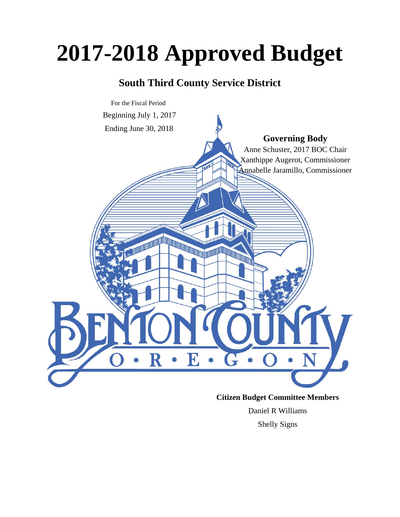# **2017-2018 Approved Budget**

### **South Third County Service District**



#### **Citizen Budget Committee Members**

Daniel R Williams Shelly Signs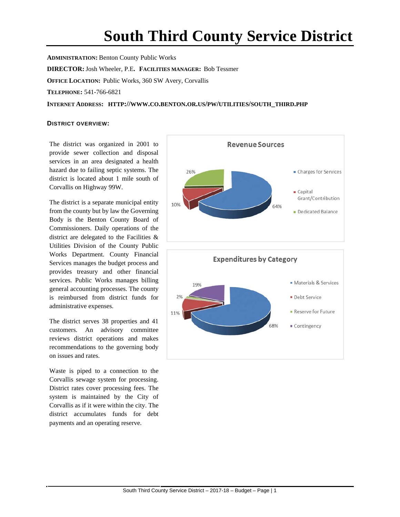## **South Third County Service District**

**ADMINISTRATION:** Benton County Public Works **DIRECTOR:**Josh Wheeler, P.E**. FACILITIES MANAGER:** Bob Tessmer **OFFICE LOCATION:** Public Works, 360 SW Avery, Corvallis **TELEPHONE:** 541-766-6821 **INTERNET ADDRESS: HTTP://WWW.CO.BENTON.OR.US/PW/UTILITIES/SOUTH\_THIRD.PHP**

#### **DISTRICT OVERVIEW:**

The district was organized in 2001 to provide sewer collection and disposal services in an area designated a health hazard due to failing septic systems. The district is located about 1 mile south of Corvallis on Highway 99W.

The district is a separate municipal entity from the county but by law the Governing Body is the Benton County Board of Commissioners. Daily operations of the district are delegated to the Facilities & Utilities Division of the County Public Works Department. County Financial Services manages the budget process and provides treasury and other financial services. Public Works manages billing general accounting processes. The county is reimbursed from district funds for administrative expenses.

The district serves 38 properties and 41 customers. An advisory committee reviews district operations and makes recommendations to the governing body on issues and rates.

Waste is piped to a connection to the Corvallis sewage system for processing. District rates cover processing fees. The system is maintained by the City of Corvallis as if it were within the city. The district accumulates funds for debt payments and an operating reserve.

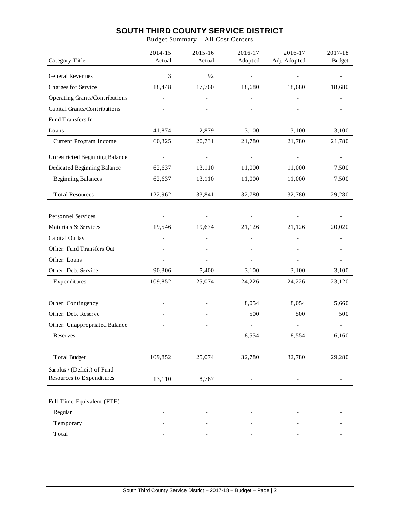#### **SOUTH THIRD COUNTY SERVICE DISTRICT**

Budget Summary – All Cost Centers

| Category Title                 | 2014-15<br>Actual        | 2015-16<br>Actual        | 2016-17<br>Adopted | 2016-17<br>Adj. Adopted  | 2017-18<br><b>Budget</b> |
|--------------------------------|--------------------------|--------------------------|--------------------|--------------------------|--------------------------|
| General Revenues               | 3                        | 92                       |                    |                          |                          |
| Charges for Service            | 18,448                   | 17,760                   | 18,680             | 18,680                   | 18,680                   |
| Operating Grants/Contributions |                          |                          |                    |                          |                          |
| Capital Grants/Contributions   |                          |                          |                    |                          |                          |
| Fund Transfers In              |                          |                          |                    |                          |                          |
| Loans                          | 41,874                   | 2,879                    | 3,100              | 3,100                    | 3,100                    |
| Current Program Income         | 60,325                   | 20,731                   | 21,780             | 21,780                   | 21,780                   |
| Unrestricted Beginning Balance |                          |                          |                    |                          |                          |
| Dedicated Beginning Balance    | 62,637                   | 13,110                   | 11,000             | 11,000                   | 7,500                    |
| <b>Beginning Balances</b>      | 62,637                   | 13,110                   | 11,000             | 11,000                   | 7,500                    |
| <b>Total Resources</b>         | 122,962                  | 33,841                   | 32,780             | 32,780                   | 29,280                   |
| <b>Personnel Services</b>      |                          | $\overline{\phantom{a}}$ |                    |                          |                          |
| Materials & Services           | 19,546                   | 19,674                   | 21,126             | 21,126                   | 20,020                   |
| Capital Outlay                 |                          |                          |                    |                          |                          |
| Other: Fund Transfers Out      |                          |                          |                    |                          |                          |
| Other: Loans                   |                          |                          |                    |                          |                          |
| Other: Debt Service            | 90,306                   | 5,400                    | 3,100              | 3,100                    | 3,100                    |
| Expenditures                   | 109,852                  | 25,074                   | 24,226             | 24,226                   | 23,120                   |
| Other: Contingency             |                          |                          | 8,054              | 8,054                    | 5,660                    |
| Other: Debt Reserve            |                          |                          | 500                | 500                      | 500                      |
| Other: Unappropriated Balance  |                          |                          |                    | $\overline{\phantom{0}}$ |                          |
| Reserves                       | $\overline{\phantom{a}}$ |                          | 8,554              | 8,554                    | 6,160                    |
| <b>Total Budget</b>            | 109,852                  | 25,074                   | 32,780             | 32,780                   | 29,280                   |
| Surplus / (Deficit) of Fund    |                          |                          |                    |                          |                          |
| Resources to Expenditures      | 13,110                   | 8,767                    |                    |                          |                          |
| Full-Time-Equivalent (FTE)     |                          |                          |                    |                          |                          |
| Regular                        |                          |                          |                    |                          |                          |
| Temporary                      |                          |                          |                    |                          |                          |
| Total                          |                          |                          |                    |                          |                          |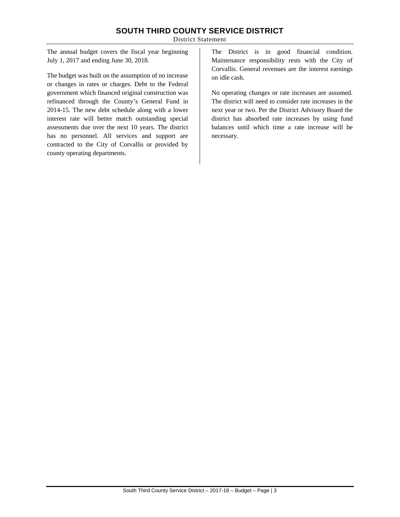#### **SOUTH THIRD COUNTY SERVICE DISTRICT**

District Statement

The annual budget covers the fiscal year beginning July 1, 2017 and ending June 30, 2018.

The budget was built on the assumption of no increase or changes in rates or charges. Debt to the Federal government which financed original construction was refinanced through the County's General Fund in 2014-15. The new debt schedule along with a lower interest rate will better match outstanding special assessments due over the next 10 years. The district has no personnel. All services and support are contracted to the City of Corvallis or provided by county operating departments.

The District is in good financial condition. Maintenance responsibility rests with the City of Corvallis. General revenues are the interest earnings on idle cash.

No operating changes or rate increases are assumed. The district will need to consider rate increases in the next year or two. Per the District Advisory Board the district has absorbed rate increases by using fund balances until which time a rate increase will be necessary.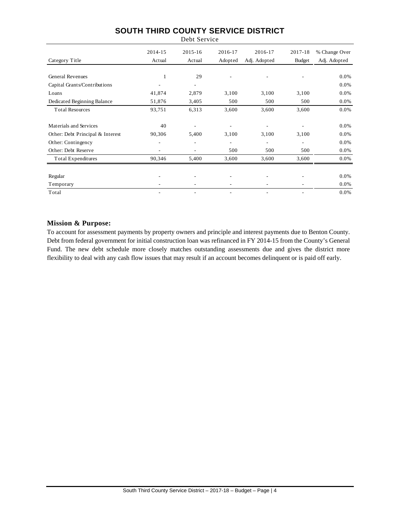#### **SOUTH THIRD COUNTY SERVICE DISTRICT** Debt Service

|                                  | 2014-15 | $2015 - 16$              | 2016-17 | 2016-17      | 2017-18       | % Change Over |
|----------------------------------|---------|--------------------------|---------|--------------|---------------|---------------|
| Category Title                   | Actual  | Actual                   | Adopted | Adj. Adopted | <b>Budget</b> | Adj. Adopted  |
|                                  |         |                          |         |              |               |               |
| <b>General Revenues</b>          | 1       | 29                       |         |              | ۰             | 0.0%          |
| Capital Grants/Contributions     |         | $\overline{\phantom{a}}$ |         |              |               | 0.0%          |
| Loans                            | 41,874  | 2,879                    | 3,100   | 3,100        | 3,100         | 0.0%          |
| Dedicated Beginning Balance      | 51,876  | 3,405                    | 500     | 500          | 500           | 0.0%          |
| <b>Total Resources</b>           | 93,751  | 6,313                    | 3,600   | 3,600        | 3,600         | 0.0%          |
|                                  |         |                          |         |              |               |               |
| Materials and Services           | 40      |                          |         |              |               | 0.0%          |
| Other: Debt Principal & Interest | 90,306  | 5,400                    | 3,100   | 3,100        | 3,100         | 0.0%          |
| Other: Contingency               | ۰       | ٠                        |         |              | ۰             | 0.0%          |
| Other: Debt Reserve              |         | ٠                        | 500     | 500          | 500           | 0.0%          |
| <b>Total Expenditures</b>        | 90,346  | 5,400                    | 3,600   | 3,600        | 3,600         | 0.0%          |
|                                  |         |                          |         |              |               |               |
| Regular                          | ۰       |                          |         |              |               | 0.0%          |
| Temporary                        |         |                          |         |              |               | 0.0%          |
| Total                            | ۰       | $\overline{\phantom{m}}$ |         |              |               | 0.0%          |

#### **Mission & Purpose:**

To account for assessment payments by property owners and principle and interest payments due to Benton County. Debt from federal government for initial construction loan was refinanced in FY 2014-15 from the County's General Fund. The new debt schedule more closely matches outstanding assessments due and gives the district more flexibility to deal with any cash flow issues that may result if an account becomes delinquent or is paid off early.